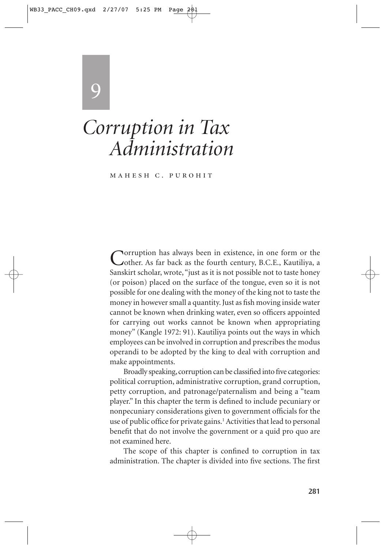**Q** 

# *Corruption in Tax Administration*

mahesh c. purohit

Corruption has always been in existence, in one form or the cother. As far back as the fourth century, B.C.E., Kautiliya, a Sanskirt scholar, wrote, "just as it is not possible not to taste honey (or poison) placed on the surface of the tongue, even so it is not possible for one dealing with the money of the king not to taste the money in however small a quantity. Just as fish moving inside water cannot be known when drinking water, even so officers appointed for carrying out works cannot be known when appropriating money" (Kangle 1972: 91). Kautiliya points out the ways in which employees can be involved in corruption and prescribes the modus operandi to be adopted by the king to deal with corruption and make appointments.

Broadly speaking, corruption can be classified into five categories: political corruption, administrative corruption, grand corruption, petty corruption, and patronage/paternalism and being a "team player." In this chapter the term is defined to include pecuniary or nonpecuniary considerations given to government officials for the use of public office for private gains.<sup>1</sup> Activities that lead to personal benefit that do not involve the government or a quid pro quo are not examined here.

The scope of this chapter is confined to corruption in tax administration. The chapter is divided into five sections. The first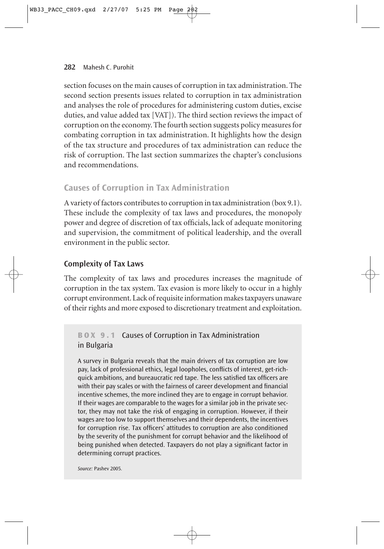section focuses on the main causes of corruption in tax administration. The second section presents issues related to corruption in tax administration and analyses the role of procedures for administering custom duties, excise duties, and value added tax [VAT]). The third section reviews the impact of corruption on the economy. The fourth section suggests policy measures for combating corruption in tax administration. It highlights how the design of the tax structure and procedures of tax administration can reduce the risk of corruption. The last section summarizes the chapter's conclusions and recommendations.

## **Causes of Corruption in Tax Administration**

A variety of factors contributes to corruption in tax administration (box 9.1). These include the complexity of tax laws and procedures, the monopoly power and degree of discretion of tax officials, lack of adequate monitoring and supervision, the commitment of political leadership, and the overall environment in the public sector.

#### **Complexity of Tax Laws**

The complexity of tax laws and procedures increases the magnitude of corruption in the tax system. Tax evasion is more likely to occur in a highly corrupt environment. Lack of requisite information makes taxpayers unaware of their rights and more exposed to discretionary treatment and exploitation.

# **BOX 9.1** Causes of Corruption in Tax Administration in Bulgaria

A survey in Bulgaria reveals that the main drivers of tax corruption are low pay, lack of professional ethics, legal loopholes, conflicts of interest, get-richquick ambitions, and bureaucratic red tape. The less satisfied tax officers are with their pay scales or with the fairness of career development and financial incentive schemes, the more inclined they are to engage in corrupt behavior. If their wages are comparable to the wages for a similar job in the private sector, they may not take the risk of engaging in corruption. However, if their wages are too low to support themselves and their dependents, the incentives for corruption rise. Tax officers' attitudes to corruption are also conditioned by the severity of the punishment for corrupt behavior and the likelihood of being punished when detected. Taxpayers do not play a significant factor in determining corrupt practices.

*Source:* Pashev 2005.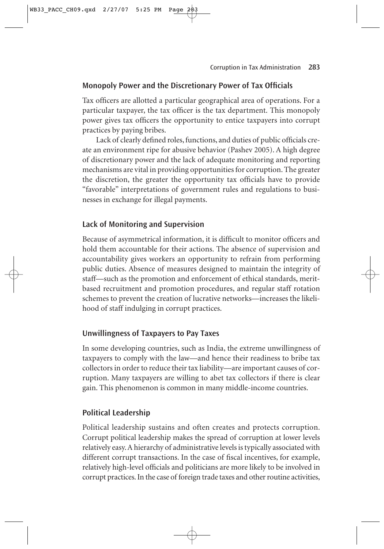## **Monopoly Power and the Discretionary Power of Tax Officials**

Tax officers are allotted a particular geographical area of operations. For a particular taxpayer, the tax officer is the tax department. This monopoly power gives tax officers the opportunity to entice taxpayers into corrupt practices by paying bribes.

Lack of clearly defined roles, functions, and duties of public officials create an environment ripe for abusive behavior (Pashev 2005). A high degree of discretionary power and the lack of adequate monitoring and reporting mechanisms are vital in providing opportunities for corruption. The greater the discretion, the greater the opportunity tax officials have to provide "favorable" interpretations of government rules and regulations to businesses in exchange for illegal payments.

## **Lack of Monitoring and Supervision**

Because of asymmetrical information, it is difficult to monitor officers and hold them accountable for their actions. The absence of supervision and accountability gives workers an opportunity to refrain from performing public duties. Absence of measures designed to maintain the integrity of staff—such as the promotion and enforcement of ethical standards, meritbased recruitment and promotion procedures, and regular staff rotation schemes to prevent the creation of lucrative networks—increases the likelihood of staff indulging in corrupt practices.

#### **Unwillingness of Taxpayers to Pay Taxes**

In some developing countries, such as India, the extreme unwillingness of taxpayers to comply with the law—and hence their readiness to bribe tax collectors in order to reduce their tax liability—are important causes of corruption. Many taxpayers are willing to abet tax collectors if there is clear gain. This phenomenon is common in many middle-income countries.

# **Political Leadership**

Political leadership sustains and often creates and protects corruption. Corrupt political leadership makes the spread of corruption at lower levels relatively easy.A hierarchy of administrative levels is typically associated with different corrupt transactions. In the case of fiscal incentives, for example, relatively high-level officials and politicians are more likely to be involved in corrupt practices. In the case of foreign trade taxes and other routine activities,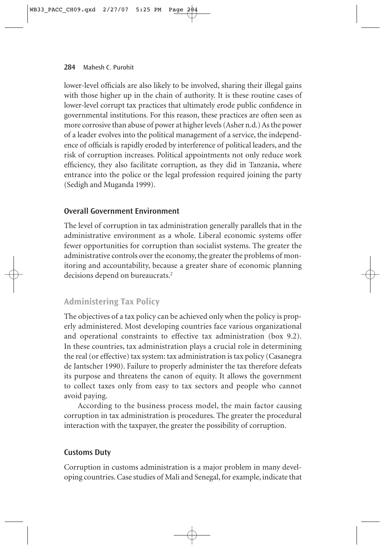lower-level officials are also likely to be involved, sharing their illegal gains with those higher up in the chain of authority. It is these routine cases of lower-level corrupt tax practices that ultimately erode public confidence in governmental institutions. For this reason, these practices are often seen as more corrosive than abuse of power at higher levels (Asher n.d.) As the power of a leader evolves into the political management of a service, the independence of officials is rapidly eroded by interference of political leaders, and the risk of corruption increases. Political appointments not only reduce work efficiency, they also facilitate corruption, as they did in Tanzania, where entrance into the police or the legal profession required joining the party (Sedigh and Muganda 1999).

## **Overall Government Environment**

The level of corruption in tax administration generally parallels that in the administrative environment as a whole. Liberal economic systems offer fewer opportunities for corruption than socialist systems. The greater the administrative controls over the economy, the greater the problems of monitoring and accountability, because a greater share of economic planning decisions depend on bureaucrats.<sup>2</sup>

# **Administering Tax Policy**

The objectives of a tax policy can be achieved only when the policy is properly administered. Most developing countries face various organizational and operational constraints to effective tax administration (box 9.2). In these countries, tax administration plays a crucial role in determining the real (or effective) tax system: tax administration is tax policy (Casanegra de Jantscher 1990). Failure to properly administer the tax therefore defeats its purpose and threatens the canon of equity. It allows the government to collect taxes only from easy to tax sectors and people who cannot avoid paying.

According to the business process model, the main factor causing corruption in tax administration is procedures. The greater the procedural interaction with the taxpayer, the greater the possibility of corruption.

#### **Customs Duty**

Corruption in customs administration is a major problem in many developing countries. Case studies of Mali and Senegal, for example, indicate that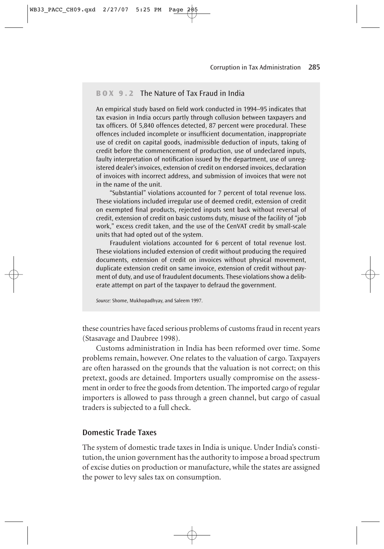# **BOX 9.2** The Nature of Tax Fraud in India

An empirical study based on field work conducted in 1994–95 indicates that tax evasion in India occurs partly through collusion between taxpayers and tax officers. Of 5,840 offences detected, 87 percent were procedural. These offences included incomplete or insufficient documentation, inappropriate use of credit on capital goods, inadmissible deduction of inputs, taking of credit before the commencement of production, use of undeclared inputs, faulty interpretation of notification issued by the department, use of unregistered dealer's invoices, extension of credit on endorsed invoices, declaration of invoices with incorrect address, and submission of invoices that were not in the name of the unit.

"Substantial" violations accounted for 7 percent of total revenue loss. These violations included irregular use of deemed credit, extension of credit on exempted final products, rejected inputs sent back without reversal of credit, extension of credit on basic customs duty, misuse of the facility of "job work," excess credit taken, and the use of the CenVAT credit by small-scale units that had opted out of the system.

Fraudulent violations accounted for 6 percent of total revenue lost. These violations included extension of credit without producing the required documents, extension of credit on invoices without physical movement, duplicate extension credit on same invoice, extension of credit without payment of duty, and use of fraudulent documents. These violations show a deliberate attempt on part of the taxpayer to defraud the government.

*Source:* Shome, Mukhopadhyay, and Saleem 1997.

these countries have faced serious problems of customs fraud in recent years (Stasavage and Daubree 1998).

Customs administration in India has been reformed over time. Some problems remain, however. One relates to the valuation of cargo. Taxpayers are often harassed on the grounds that the valuation is not correct; on this pretext, goods are detained. Importers usually compromise on the assessment in order to free the goods from detention. The imported cargo of regular importers is allowed to pass through a green channel, but cargo of casual traders is subjected to a full check.

# **Domestic Trade Taxes**

The system of domestic trade taxes in India is unique. Under India's constitution, the union government has the authority to impose a broad spectrum of excise duties on production or manufacture, while the states are assigned the power to levy sales tax on consumption.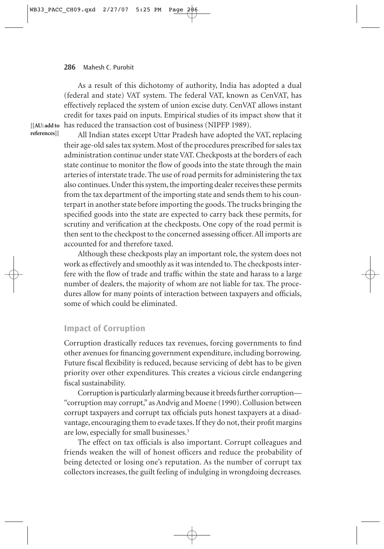As a result of this dichotomy of authority, India has adopted a dual (federal and state) VAT system. The federal VAT, known as CenVAT, has effectively replaced the system of union excise duty. CenVAT allows instant credit for taxes paid on inputs. Empirical studies of its impact show that it [[AU: add to has reduced the transaction cost of business (NIPFP 1989).

**references]]**

All Indian states except Uttar Pradesh have adopted the VAT, replacing their age-old sales tax system. Most of the procedures prescribed for sales tax administration continue under state VAT. Checkposts at the borders of each state continue to monitor the flow of goods into the state through the main arteries of interstate trade. The use of road permits for administering the tax also continues. Under this system, the importing dealer receives these permits from the tax department of the importing state and sends them to his counterpart in another state before importing the goods. The trucks bringing the specified goods into the state are expected to carry back these permits, for scrutiny and verification at the checkposts. One copy of the road permit is then sent to the checkpost to the concerned assessing officer. All imports are accounted for and therefore taxed.

Although these checkposts play an important role, the system does not work as effectively and smoothly as it was intended to. The checkposts interfere with the flow of trade and traffic within the state and harass to a large number of dealers, the majority of whom are not liable for tax. The procedures allow for many points of interaction between taxpayers and officials, some of which could be eliminated.

# **Impact of Corruption**

Corruption drastically reduces tax revenues, forcing governments to find other avenues for financing government expenditure, including borrowing. Future fiscal flexibility is reduced, because servicing of debt has to be given priority over other expenditures. This creates a vicious circle endangering fiscal sustainability.

Corruption is particularly alarming because it breeds further corruption— "corruption may corrupt," as Andvig and Moene (1990). Collusion between corrupt taxpayers and corrupt tax officials puts honest taxpayers at a disadvantage, encouraging them to evade taxes. If they do not, their profit margins are low, especially for small businesses.3

The effect on tax officials is also important. Corrupt colleagues and friends weaken the will of honest officers and reduce the probability of being detected or losing one's reputation. As the number of corrupt tax collectors increases, the guilt feeling of indulging in wrongdoing decreases.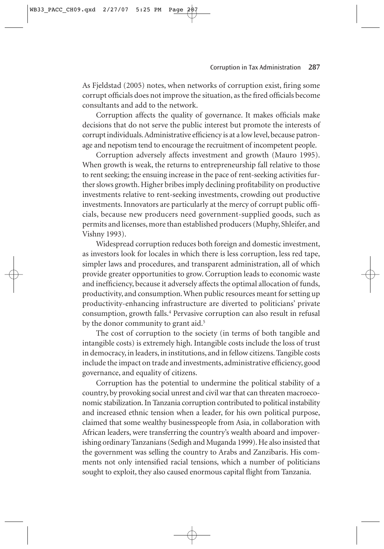As Fjeldstad (2005) notes, when networks of corruption exist, firing some corrupt officials does not improve the situation, as the fired officials become consultants and add to the network.

Corruption affects the quality of governance. It makes officials make decisions that do not serve the public interest but promote the interests of corrupt individuals.Administrative efficiency is at a low level, because patronage and nepotism tend to encourage the recruitment of incompetent people.

Corruption adversely affects investment and growth (Mauro 1995). When growth is weak, the returns to entrepreneurship fall relative to those to rent seeking; the ensuing increase in the pace of rent-seeking activities further slows growth. Higher bribes imply declining profitability on productive investments relative to rent-seeking investments, crowding out productive investments. Innovators are particularly at the mercy of corrupt public officials, because new producers need government-supplied goods, such as permits and licenses, more than established producers (Muphy, Shleifer, and Vishny 1993).

Widespread corruption reduces both foreign and domestic investment, as investors look for locales in which there is less corruption, less red tape, simpler laws and procedures, and transparent administration, all of which provide greater opportunities to grow. Corruption leads to economic waste and inefficiency, because it adversely affects the optimal allocation of funds, productivity, and consumption. When public resources meant for setting up productivity-enhancing infrastructure are diverted to politicians' private consumption, growth falls.4 Pervasive corruption can also result in refusal by the donor community to grant aid.<sup>5</sup>

The cost of corruption to the society (in terms of both tangible and intangible costs) is extremely high. Intangible costs include the loss of trust in democracy, in leaders, in institutions, and in fellow citizens. Tangible costs include the impact on trade and investments, administrative efficiency, good governance, and equality of citizens.

Corruption has the potential to undermine the political stability of a country, by provoking social unrest and civil war that can threaten macroeconomic stabilization. In Tanzania corruption contributed to political instability and increased ethnic tension when a leader, for his own political purpose, claimed that some wealthy businesspeople from Asia, in collaboration with African leaders, were transferring the country's wealth aboard and impoverishing ordinary Tanzanians (Sedigh and Muganda 1999). He also insisted that the government was selling the country to Arabs and Zanzibaris. His comments not only intensified racial tensions, which a number of politicians sought to exploit, they also caused enormous capital flight from Tanzania.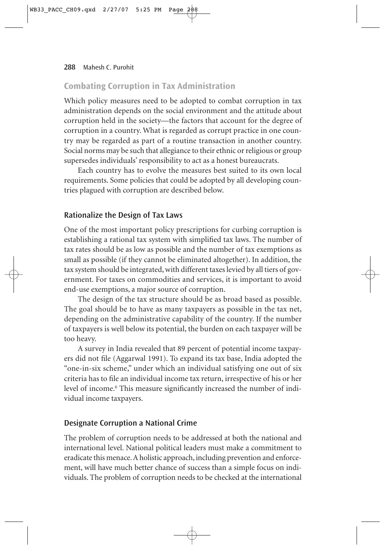### **Combating Corruption in Tax Administration**

Which policy measures need to be adopted to combat corruption in tax administration depends on the social environment and the attitude about corruption held in the society—the factors that account for the degree of corruption in a country. What is regarded as corrupt practice in one country may be regarded as part of a routine transaction in another country. Social norms may be such that allegiance to their ethnic or religious or group supersedes individuals' responsibility to act as a honest bureaucrats.

Each country has to evolve the measures best suited to its own local requirements. Some policies that could be adopted by all developing countries plagued with corruption are described below.

#### **Rationalize the Design of Tax Laws**

One of the most important policy prescriptions for curbing corruption is establishing a rational tax system with simplified tax laws. The number of tax rates should be as low as possible and the number of tax exemptions as small as possible (if they cannot be eliminated altogether). In addition, the tax system should be integrated, with different taxes levied by all tiers of government. For taxes on commodities and services, it is important to avoid end-use exemptions, a major source of corruption.

The design of the tax structure should be as broad based as possible. The goal should be to have as many taxpayers as possible in the tax net, depending on the administrative capability of the country. If the number of taxpayers is well below its potential, the burden on each taxpayer will be too heavy.

A survey in India revealed that 89 percent of potential income taxpayers did not file (Aggarwal 1991). To expand its tax base, India adopted the "one-in-six scheme," under which an individual satisfying one out of six criteria has to file an individual income tax return, irrespective of his or her level of income.<sup>6</sup> This measure significantly increased the number of individual income taxpayers.

#### **Designate Corruption a National Crime**

The problem of corruption needs to be addressed at both the national and international level. National political leaders must make a commitment to eradicate this menace.A holistic approach, including prevention and enforcement, will have much better chance of success than a simple focus on individuals. The problem of corruption needs to be checked at the international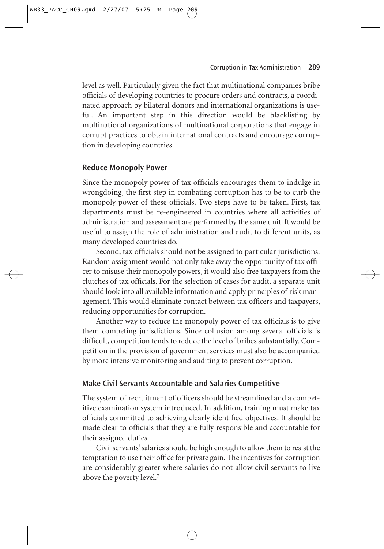level as well. Particularly given the fact that multinational companies bribe officials of developing countries to procure orders and contracts, a coordinated approach by bilateral donors and international organizations is useful. An important step in this direction would be blacklisting by multinational organizations of multinational corporations that engage in corrupt practices to obtain international contracts and encourage corruption in developing countries.

## **Reduce Monopoly Power**

Since the monopoly power of tax officials encourages them to indulge in wrongdoing, the first step in combating corruption has to be to curb the monopoly power of these officials. Two steps have to be taken. First, tax departments must be re-engineered in countries where all activities of administration and assessment are performed by the same unit. It would be useful to assign the role of administration and audit to different units, as many developed countries do.

Second, tax officials should not be assigned to particular jurisdictions. Random assignment would not only take away the opportunity of tax officer to misuse their monopoly powers, it would also free taxpayers from the clutches of tax officials. For the selection of cases for audit, a separate unit should look into all available information and apply principles of risk management. This would eliminate contact between tax officers and taxpayers, reducing opportunities for corruption.

Another way to reduce the monopoly power of tax officials is to give them competing jurisdictions. Since collusion among several officials is difficult, competition tends to reduce the level of bribes substantially. Competition in the provision of government services must also be accompanied by more intensive monitoring and auditing to prevent corruption.

## **Make Civil Servants Accountable and Salaries Competitive**

The system of recruitment of officers should be streamlined and a competitive examination system introduced. In addition, training must make tax officials committed to achieving clearly identified objectives. It should be made clear to officials that they are fully responsible and accountable for their assigned duties.

Civil servants' salaries should be high enough to allow them to resist the temptation to use their office for private gain. The incentives for corruption are considerably greater where salaries do not allow civil servants to live above the poverty level.7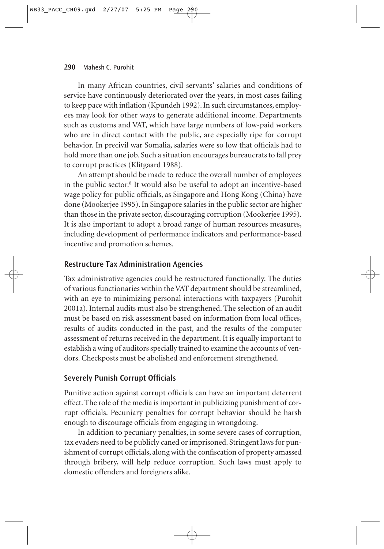In many African countries, civil servants' salaries and conditions of service have continuously deteriorated over the years, in most cases failing to keep pace with inflation (Kpundeh 1992). In such circumstances, employees may look for other ways to generate additional income. Departments such as customs and VAT, which have large numbers of low-paid workers who are in direct contact with the public, are especially ripe for corrupt behavior. In precivil war Somalia, salaries were so low that officials had to hold more than one job. Such a situation encourages bureaucrats to fall prey to corrupt practices (Klitgaard 1988).

An attempt should be made to reduce the overall number of employees in the public sector.8 It would also be useful to adopt an incentive-based wage policy for public officials, as Singapore and Hong Kong (China) have done (Mookerjee 1995). In Singapore salaries in the public sector are higher than those in the private sector, discouraging corruption (Mookerjee 1995). It is also important to adopt a broad range of human resources measures, including development of performance indicators and performance-based incentive and promotion schemes.

#### **Restructure Tax Administration Agencies**

Tax administrative agencies could be restructured functionally. The duties of various functionaries within the VAT department should be streamlined, with an eye to minimizing personal interactions with taxpayers (Purohit 2001a). Internal audits must also be strengthened. The selection of an audit must be based on risk assessment based on information from local offices, results of audits conducted in the past, and the results of the computer assessment of returns received in the department. It is equally important to establish a wing of auditors specially trained to examine the accounts of vendors. Checkposts must be abolished and enforcement strengthened.

#### **Severely Punish Corrupt Officials**

Punitive action against corrupt officials can have an important deterrent effect. The role of the media is important in publicizing punishment of corrupt officials. Pecuniary penalties for corrupt behavior should be harsh enough to discourage officials from engaging in wrongdoing.

In addition to pecuniary penalties, in some severe cases of corruption, tax evaders need to be publicly caned or imprisoned. Stringent laws for punishment of corrupt officials, along with the confiscation of property amassed through bribery, will help reduce corruption. Such laws must apply to domestic offenders and foreigners alike.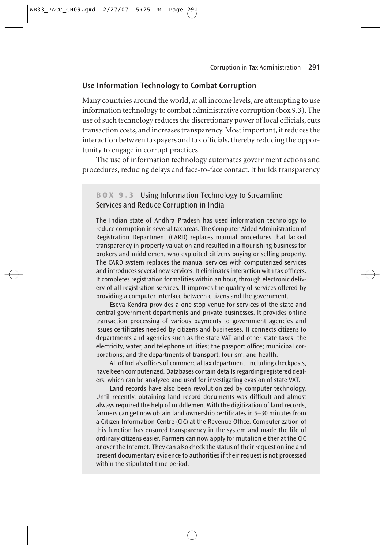## **Use Information Technology to Combat Corruption**

Many countries around the world, at all income levels, are attempting to use information technology to combat administrative corruption (box 9.3). The use of such technology reduces the discretionary power of local officials, cuts transaction costs, and increases transparency. Most important, it reduces the interaction between taxpayers and tax officials, thereby reducing the opportunity to engage in corrupt practices.

The use of information technology automates government actions and procedures, reducing delays and face-to-face contact. It builds transparency

# **BOX 9.3** Using Information Technology to Streamline Services and Reduce Corruption in India

The Indian state of Andhra Pradesh has used information technology to reduce corruption in several tax areas. The Computer-Aided Administration of Registration Department (CARD) replaces manual procedures that lacked transparency in property valuation and resulted in a flourishing business for brokers and middlemen, who exploited citizens buying or selling property. The CARD system replaces the manual services with computerized services and introduces several new services. It eliminates interaction with tax officers. It completes registration formalities within an hour, through electronic delivery of all registration services. It improves the quality of services offered by providing a computer interface between citizens and the government.

Eseva Kendra provides a one-stop venue for services of the state and central government departments and private businesses. It provides online transaction processing of various payments to government agencies and issues certificates needed by citizens and businesses. It connects citizens to departments and agencies such as the state VAT and other state taxes; the electricity, water, and telephone utilities; the passport office; municipal corporations; and the departments of transport, tourism, and health.

All of India's offices of commercial tax department, including checkposts, have been computerized. Databases contain details regarding registered dealers, which can be analyzed and used for investigating evasion of state VAT.

Land records have also been revolutionized by computer technology. Until recently, obtaining land record documents was difficult and almost always required the help of middlemen. With the digitization of land records, farmers can get now obtain land ownership certificates in 5–30 minutes from a Citizen Information Centre (CIC) at the Revenue Office. Computerization of this function has ensured transparency in the system and made the life of ordinary citizens easier. Farmers can now apply for mutation either at the CIC or over the Internet. They can also check the status of their request online and present documentary evidence to authorities if their request is not processed within the stipulated time period.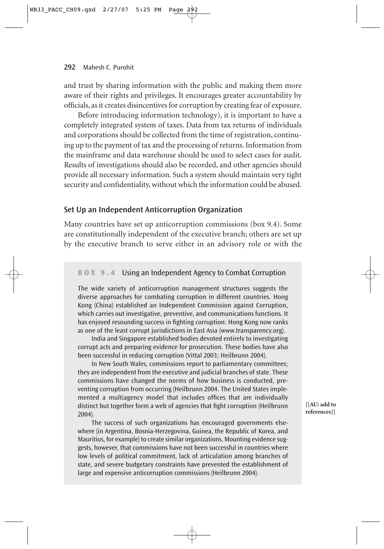and trust by sharing information with the public and making them more aware of their rights and privileges. It encourages greater accountability by officials, as it creates disincentives for corruption by creating fear of exposure.

Before introducing information technology), it is important to have a completely integrated system of taxes. Data from tax returns of individuals and corporations should be collected from the time of registration, continuing up to the payment of tax and the processing of returns. Information from the mainframe and data warehouse should be used to select cases for audit. Results of investigations should also be recorded, and other agencies should provide all necessary information. Such a system should maintain very tight security and confidentiality, without which the information could be abused.

## **Set Up an Independent Anticorruption Organization**

Many countries have set up anticorruption commissions (box 9.4). Some are constitutionally independent of the executive branch; others are set up by the executive branch to serve either in an advisory role or with the

#### **BOX 9.4** Using an Independent Agency to Combat Corruption

The wide variety of anticorruption management structures suggests the diverse approaches for combating corruption in different countries. Hong Kong (China) established an Independent Commission against Corruption, which carries out investigative, preventive, and communications functions. It has enjoyed resounding success in fighting corruption: Hong Kong now ranks as one of the least corrupt jurisdictions in East Asia (www.transparency.org).

India and Singapore established bodies devoted entirely to investigating corrupt acts and preparing evidence for prosecution. These bodies have also been successful in reducing corruption (Vittal 2003; Heilbrunn 2004).

In New South Wales, commissions report to parliamentary committees; they are independent from the executive and judicial branches of state. These commissions have changed the norms of how business is conducted, preventing corruption from occurring (Heilbrunn 2004. The United States implemented a multiagency model that includes offices that are individually distinct but together form a web of agencies that fight corruption (Heilbrunn 2004).

The success of such organizations has encouraged governments elsewhere (in Argentina, Bosnia-Herzegovina, Guinea, the Republic of Korea, and Mauritius, for example) to create similar organizations. Mounting evidence suggests, however, that commissions have not been successful in countries where low levels of political commitment, lack of articulation among branches of state, and severe budgetary constraints have prevented the establishment of large and expensive anticorruption commissions (Heilbrunn 2004).

**[[AU: add to references]]**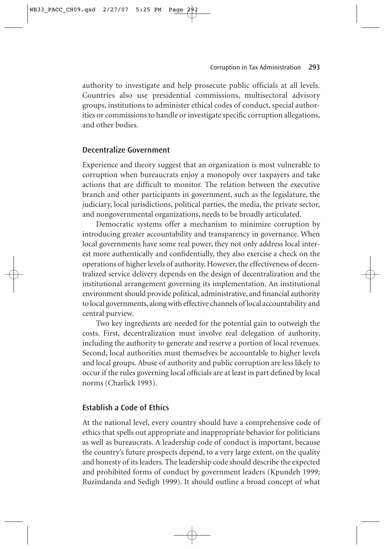Corruption in Tax Administration **293**

authority to investigate and help prosecute public officials at all levels. Countries also use presidential commissions, multisectoral advisory groups, institutions to administer ethical codes of conduct, special authorities or commissions to handle or investigate specific corruption allegations, and other bodies.

## **Decentralize Government**

Experience and theory suggest that an organization is most vulnerable to corruption when bureaucrats enjoy a monopoly over taxpayers and take actions that are difficult to monitor. The relation between the executive branch and other participants in government, such as the legislature, the judiciary, local jurisdictions, political parties, the media, the private sector, and nongovernmental organizations, needs to be broadly articulated.

Democratic systems offer a mechanism to minimize corruption by introducing greater accountability and transparency in governance. When local governments have some real power, they not only address local interest more authentically and confidentially, they also exercise a check on the operations of higher levels of authority. However, the effectiveness of decentralized service delivery depends on the design of decentralization and the institutional arrangement governing its implementation. An institutional environment should provide political, administrative, and financial authority to local governments, along with effective channels of local accountability and central purview.

Two key ingredients are needed for the potential gain to outweigh the costs. First, decentralization must involve real delegation of authority, including the authority to generate and reserve a portion of local revenues. Second, local authorities must themselves be accountable to higher levels and local groups. Abuse of authority and public corruption are less likely to occur if the rules governing local officials are at least in part defined by local norms (Charlick 1993).

# **Establish a Code of Ethics**

At the national level, every country should have a comprehensive code of ethics that spells out appropriate and inappropriate behavior for politicians as well as bureaucrats. A leadership code of conduct is important, because the country's future prospects depend, to a very large extent, on the quality and honesty of its leaders. The leadership code should describe the expected and prohibited forms of conduct by government leaders (Kpundeh 1999; Ruzindanda and Sedigh 1999). It should outline a broad concept of what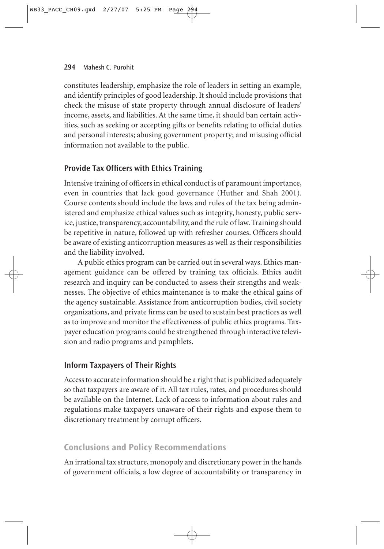constitutes leadership, emphasize the role of leaders in setting an example, and identify principles of good leadership. It should include provisions that check the misuse of state property through annual disclosure of leaders' income, assets, and liabilities. At the same time, it should ban certain activities, such as seeking or accepting gifts or benefits relating to official duties and personal interests; abusing government property; and misusing official information not available to the public.

## **Provide Tax Officers with Ethics Training**

Intensive training of officers in ethical conduct is of paramount importance, even in countries that lack good governance (Huther and Shah 2001). Course contents should include the laws and rules of the tax being administered and emphasize ethical values such as integrity, honesty, public service, justice, transparency, accountability, and the rule of law. Training should be repetitive in nature, followed up with refresher courses. Officers should be aware of existing anticorruption measures as well as their responsibilities and the liability involved.

A public ethics program can be carried out in several ways. Ethics management guidance can be offered by training tax officials. Ethics audit research and inquiry can be conducted to assess their strengths and weaknesses. The objective of ethics maintenance is to make the ethical gains of the agency sustainable. Assistance from anticorruption bodies, civil society organizations, and private firms can be used to sustain best practices as well as to improve and monitor the effectiveness of public ethics programs. Taxpayer education programs could be strengthened through interactive television and radio programs and pamphlets.

#### **Inform Taxpayers of Their Rights**

Access to accurate information should be a right that is publicized adequately so that taxpayers are aware of it. All tax rules, rates, and procedures should be available on the Internet. Lack of access to information about rules and regulations make taxpayers unaware of their rights and expose them to discretionary treatment by corrupt officers.

## **Conclusions and Policy Recommendations**

An irrational tax structure, monopoly and discretionary power in the hands of government officials, a low degree of accountability or transparency in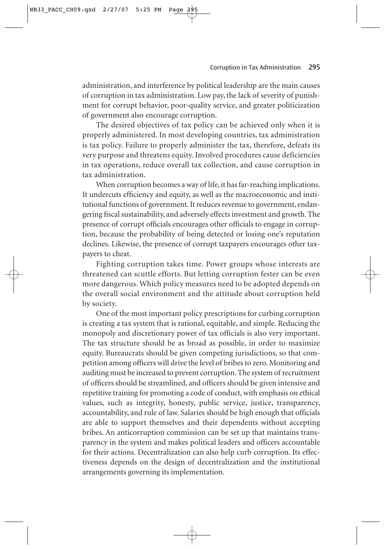administration, and interference by political leadership are the main causes of corruption in tax administration. Low pay, the lack of severity of punishment for corrupt behavior, poor-quality service, and greater politicization of government also encourage corruption.

The desired objectives of tax policy can be achieved only when it is properly administered. In most developing countries, tax administration is tax policy. Failure to properly administer the tax, therefore, defeats its very purpose and threatens equity. Involved procedures cause deficiencies in tax operations, reduce overall tax collection, and cause corruption in tax administration.

When corruption becomes a way of life, it has far-reaching implications. It undercuts efficiency and equity, as well as the macroeconomic and institutional functions of government. It reduces revenue to government, endangering fiscal sustainability, and adversely effects investment and growth. The presence of corrupt officials encourages other officials to engage in corruption, because the probability of being detected or losing one's reputation declines. Likewise, the presence of corrupt taxpayers encourages other taxpayers to cheat.

Fighting corruption takes time. Power groups whose interests are threatened can scuttle efforts. But letting corruption fester can be even more dangerous. Which policy measures need to be adopted depends on the overall social environment and the attitude about corruption held by society.

One of the most important policy prescriptions for curbing corruption is creating a tax system that is rational, equitable, and simple. Reducing the monopoly and discretionary power of tax officials is also very important. The tax structure should be as broad as possible, in order to maximize equity. Bureaucrats should be given competing jurisdictions, so that competition among officers will drive the level of bribes to zero. Monitoring and auditing must be increased to prevent corruption. The system of recruitment of officers should be streamlined, and officers should be given intensive and repetitive training for promoting a code of conduct, with emphasis on ethical values, such as integrity, honesty, public service, justice, transparency, accountability, and rule of law. Salaries should be high enough that officials are able to support themselves and their dependents without accepting bribes. An anticorruption commission can be set up that maintains transparency in the system and makes political leaders and officers accountable for their actions. Decentralization can also help curb corruption. Its effectiveness depends on the design of decentralization and the institutional arrangements governing its implementation.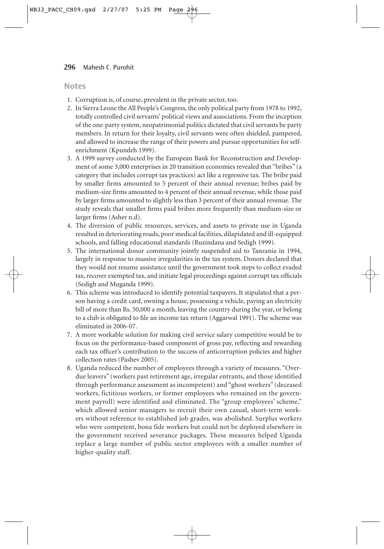#### **Notes**

- 1. Corruption is, of course, prevalent in the private sector, too.
- 2. In Sierra Leone the All People's Congress, the only political party from 1978 to 1992, totally controlled civil servants' political views and associations. From the inception of the one-party system, neopatrimonial politics dictated that civil servants be party members. In return for their loyalty, civil servants were often shielded, pampered, and allowed to increase the range of their powers and pursue opportunities for selfenrichment (Kpundeh 1999).
- 3. A 1999 survey conducted by the European Bank for Reconstruction and Development of some 3,000 enterprises in 20 transition economies revealed that "bribes" (a category that includes corrupt tax practices) act like a regressive tax. The bribe paid by smaller firms amounted to 5 percent of their annual revenue; bribes paid by medium-size firms amounted to 4 percent of their annual revenue, while those paid by larger firms amounted to slightly less than 3 percent of their annual revenue. The study reveals that smaller firms paid bribes more frequently than medium-size or larger firms (Asher n.d).
- 4. The diversion of public resources, services, and assets to private use in Uganda resulted in deteriorating roads, poor medical facilities, dilapidated and ill-equipped schools, and falling educational standards (Ruzindana and Sedigh 1999).
- 5. The international donor community jointly suspended aid to Tanzania in 1994, largely in response to massive irregularities in the tax system. Donors declared that they would not resume assistance until the government took steps to collect evaded tax, recover exempted tax, and initiate legal proceedings against corrupt tax officials (Sedigh and Muganda 1999).
- 6. This scheme was introduced to identify potential taxpayers. It stipulated that a person having a credit card, owning a house, possessing a vehicle, paying an electricity bill of more than Rs. 50,000 a month, leaving the country during the year, or belong to a club is obligated to file an income tax return (Aggarwal 1991). The scheme was eliminated in 2006-07.
- 7. A more workable solution for making civil service salary competitive would be to focus on the performance-based component of gross pay, reflecting and rewarding each tax officer's contribution to the success of anticorruption policies and higher collection rates (Pashev 2005).
- 8. Uganda reduced the number of employees through a variety of measures. "Overdue leavers" (workers past retirement age, irregular entrants, and those identified through performance assessment as incompetent) and "ghost workers" (deceased workers, fictitious workers, or former employees who remained on the government payroll) were identified and eliminated. The "group employees' scheme," which allowed senior managers to recruit their own casual, short-term workers without reference to established job grades, was abolished. Surplus workers who were competent, bona fide workers but could not be deployed elsewhere in the government received severance packages. These measures helped Uganda replace a large number of public sector employees with a smaller number of higher-quality staff.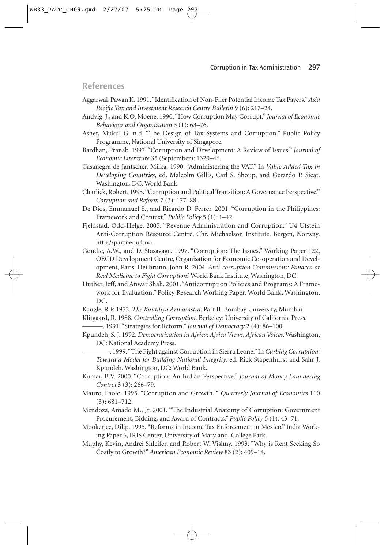#### Corruption in Tax Administration **297**

**References**

- Aggarwal, Pawan K. 1991."Identification of Non-Filer Potential Income Tax Payers."*Asia Pacific Tax and Investment Research Centre Bulletin* 9 (6): 217–24.
- Andvig, J., and K.O. Moene. 1990. "How Corruption May Corrupt." *Journal of Economic Behaviour and Organization* 3 (1): 63–76.
- Asher, Mukul G. n.d. "The Design of Tax Systems and Corruption." Public Policy Programme, National University of Singapore.
- Bardhan, Pranab. 1997. "Corruption and Development: A Review of Issues." *Journal of Economic Literature* 35 (September): 1320–46.
- Casanegra de Jantscher, Milka. 1990. "Administering the VAT." In *Value Added Tax in Developing Countries,* ed. Malcolm Gillis, Carl S. Shoup, and Gerardo P. Sicat. Washington, DC: World Bank.
- Charlick, Robert. 1993."Corruption and Political Transition: A Governance Perspective." *Corruption and Reform* 7 (3): 177–88.
- De Dios, Emmanuel S., and Ricardo D. Ferrer. 2001. "Corruption in the Philippines: Framework and Context." *Public Policy* 5 (1): 1–42.
- Fjeldstad, Odd-Helge. 2005. "Revenue Administration and Corruption." U4 Utstein Anti-Corruption Resource Centre, Chr. Michaelson Institute, Bergen, Norway. http://partner.u4.no.
- Goudie, A.W., and D. Stasavage. 1997. "Corruption: The Issues." Working Paper 122, OECD Development Centre, Organisation for Economic Co-operation and Development, Paris. Heilbrunn, John R. 2004. *Anti-corruption Commissions: Panacea or Real Medicine to Fight Corruption?* World Bank Institute, Washington, DC.
- Huther, Jeff, and Anwar Shah. 2001."Anticorruption Policies and Programs: A Framework for Evaluation." Policy Research Working Paper, World Bank, Washington, DC.
- Kangle, R.P. 1972. *The Kautiliya Arthasastra*. Part II. Bombay University, Mumbai.
- Klitgaard, R. 1988. *Controlling Corruption.* Berkeley: University of California Press.
- ———. 1991. "Strategies for Reform." *Journal of Democracy* 2 (4): 86–100.
- Kpundeh, S. J. 1992. *Democratization in Africa: Africa Views, African Voices*. Washington, DC: National Academy Press.
	- ––––––––. 1999."The Fight against Corruption in Sierra Leone." In *Curbing Corruption: Toward a Model for Building National Integrity,* ed. Rick Stapenhurst and Sahr J. Kpundeh. Washington, DC: World Bank.
- Kumar, B.V. 2000. "Corruption: An Indian Perspective." *Journal of Money Laundering Control* 3 (3): 266–79.
- Mauro, Paolo. 1995. "Corruption and Growth. " *Quarterly Journal of Economics* 110 (3): 681–712.
- Mendoza, Amado M., Jr. 2001. "The Industrial Anatomy of Corruption: Government Procurement, Bidding, and Award of Contracts." *Public Policy* 5 (1): 43–71.
- Mookerjee, Dilip. 1995. "Reforms in Income Tax Enforcement in Mexico." India Working Paper 6, IRIS Center, University of Maryland, College Park.
- Muphy, Kevin, Andrei Shleifer, and Robert W. Vishny. 1993. "Why is Rent Seeking So Costly to Growth?" *American Economic Review* 83 (2): 409–14.